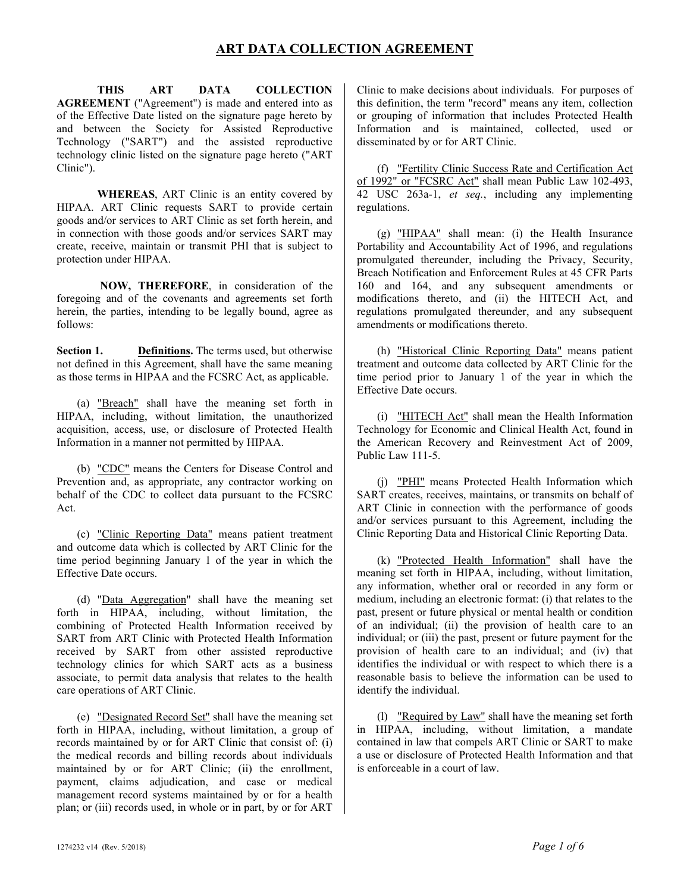# **ART DATA COLLECTION AGREEMENT**

**THIS ART DATA COLLECTION AGREEMENT** ("Agreement") is made and entered into as of the Effective Date listed on the signature page hereto by and between the Society for Assisted Reproductive Technology ("SART") and the assisted reproductive technology clinic listed on the signature page hereto ("ART Clinic").

**WHEREAS**, ART Clinic is an entity covered by HIPAA. ART Clinic requests SART to provide certain goods and/or services to ART Clinic as set forth herein, and in connection with those goods and/or services SART may create, receive, maintain or transmit PHI that is subject to protection under HIPAA.

**NOW, THEREFORE**, in consideration of the foregoing and of the covenants and agreements set forth herein, the parties, intending to be legally bound, agree as follows:

**Section 1. Definitions.** The terms used, but otherwise not defined in this Agreement, shall have the same meaning as those terms in HIPAA and the FCSRC Act, as applicable.

(a) "Breach" shall have the meaning set forth in HIPAA, including, without limitation, the unauthorized acquisition, access, use, or disclosure of Protected Health Information in a manner not permitted by HIPAA.

(b) "CDC" means the Centers for Disease Control and Prevention and, as appropriate, any contractor working on behalf of the CDC to collect data pursuant to the FCSRC Act.

(c) "Clinic Reporting Data" means patient treatment and outcome data which is collected by ART Clinic for the time period beginning January 1 of the year in which the Effective Date occurs.

(d) "Data Aggregation" shall have the meaning set forth in HIPAA, including, without limitation, the combining of Protected Health Information received by SART from ART Clinic with Protected Health Information received by SART from other assisted reproductive technology clinics for which SART acts as a business associate, to permit data analysis that relates to the health care operations of ART Clinic.

(e) "Designated Record Set" shall have the meaning set forth in HIPAA, including, without limitation, a group of records maintained by or for ART Clinic that consist of: (i) the medical records and billing records about individuals maintained by or for ART Clinic; (ii) the enrollment, payment, claims adjudication, and case or medical management record systems maintained by or for a health plan; or (iii) records used, in whole or in part, by or for ART

Clinic to make decisions about individuals. For purposes of this definition, the term "record" means any item, collection or grouping of information that includes Protected Health Information and is maintained, collected, used or disseminated by or for ART Clinic.

(f) "Fertility Clinic Success Rate and Certification Act of 1992" or "FCSRC Act" shall mean Public Law 102-493, 42 USC 263a-1, *et seq.*, including any implementing regulations.

(g) "HIPAA" shall mean: (i) the Health Insurance Portability and Accountability Act of 1996, and regulations promulgated thereunder, including the Privacy, Security, Breach Notification and Enforcement Rules at 45 CFR Parts 160 and 164, and any subsequent amendments or modifications thereto, and (ii) the HITECH Act, and regulations promulgated thereunder, and any subsequent amendments or modifications thereto.

(h) "Historical Clinic Reporting Data" means patient treatment and outcome data collected by ART Clinic for the time period prior to January 1 of the year in which the Effective Date occurs.

(i) "HITECH Act" shall mean the Health Information Technology for Economic and Clinical Health Act, found in the American Recovery and Reinvestment Act of 2009, Public Law 111-5.

(j) "PHI" means Protected Health Information which SART creates, receives, maintains, or transmits on behalf of ART Clinic in connection with the performance of goods and/or services pursuant to this Agreement, including the Clinic Reporting Data and Historical Clinic Reporting Data.

(k) "Protected Health Information" shall have the meaning set forth in HIPAA, including, without limitation, any information, whether oral or recorded in any form or medium, including an electronic format: (i) that relates to the past, present or future physical or mental health or condition of an individual; (ii) the provision of health care to an individual; or (iii) the past, present or future payment for the provision of health care to an individual; and (iv) that identifies the individual or with respect to which there is a reasonable basis to believe the information can be used to identify the individual.

(l) "Required by Law" shall have the meaning set forth in HIPAA, including, without limitation, a mandate contained in law that compels ART Clinic or SART to make a use or disclosure of Protected Health Information and that is enforceable in a court of law.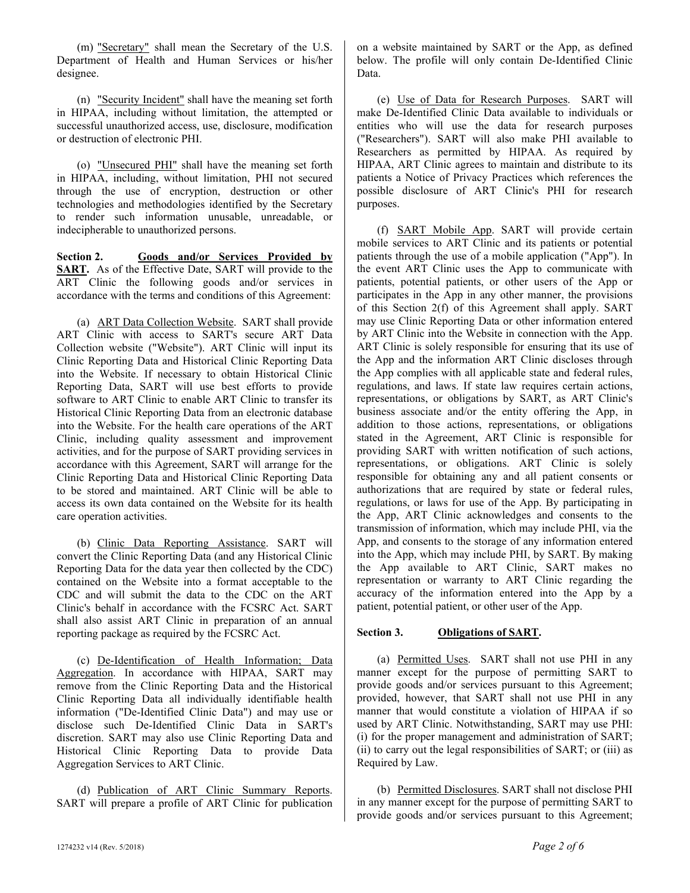(m) "Secretary" shall mean the Secretary of the U.S. Department of Health and Human Services or his/her designee.

(n) "Security Incident" shall have the meaning set forth in HIPAA, including without limitation, the attempted or successful unauthorized access, use, disclosure, modification or destruction of electronic PHI.

(o) "Unsecured PHI" shall have the meaning set forth in HIPAA, including, without limitation, PHI not secured through the use of encryption, destruction or other technologies and methodologies identified by the Secretary to render such information unusable, unreadable, or indecipherable to unauthorized persons.

**Section 2. Goods and/or Services Provided by**  SART. As of the Effective Date, SART will provide to the ART Clinic the following goods and/or services in accordance with the terms and conditions of this Agreement:

(a) ART Data Collection Website. SART shall provide ART Clinic with access to SART's secure ART Data Collection website ("Website"). ART Clinic will input its Clinic Reporting Data and Historical Clinic Reporting Data into the Website. If necessary to obtain Historical Clinic Reporting Data, SART will use best efforts to provide software to ART Clinic to enable ART Clinic to transfer its Historical Clinic Reporting Data from an electronic database into the Website. For the health care operations of the ART Clinic, including quality assessment and improvement activities, and for the purpose of SART providing services in accordance with this Agreement, SART will arrange for the Clinic Reporting Data and Historical Clinic Reporting Data to be stored and maintained. ART Clinic will be able to access its own data contained on the Website for its health care operation activities.

(b) Clinic Data Reporting Assistance. SART will convert the Clinic Reporting Data (and any Historical Clinic Reporting Data for the data year then collected by the CDC) contained on the Website into a format acceptable to the CDC and will submit the data to the CDC on the ART Clinic's behalf in accordance with the FCSRC Act. SART shall also assist ART Clinic in preparation of an annual reporting package as required by the FCSRC Act.

(c) De-Identification of Health Information; Data Aggregation. In accordance with HIPAA, SART may remove from the Clinic Reporting Data and the Historical Clinic Reporting Data all individually identifiable health information ("De-Identified Clinic Data") and may use or disclose such De-Identified Clinic Data in SART's discretion. SART may also use Clinic Reporting Data and Historical Clinic Reporting Data to provide Data Aggregation Services to ART Clinic.

(d) Publication of ART Clinic Summary Reports. SART will prepare a profile of ART Clinic for publication on a website maintained by SART or the App, as defined below. The profile will only contain De-Identified Clinic Data.

(e) Use of Data for Research Purposes. SART will make De-Identified Clinic Data available to individuals or entities who will use the data for research purposes ("Researchers"). SART will also make PHI available to Researchers as permitted by HIPAA. As required by HIPAA, ART Clinic agrees to maintain and distribute to its patients a Notice of Privacy Practices which references the possible disclosure of ART Clinic's PHI for research purposes.

(f) SART Mobile App. SART will provide certain mobile services to ART Clinic and its patients or potential patients through the use of a mobile application ("App"). In the event ART Clinic uses the App to communicate with patients, potential patients, or other users of the App or participates in the App in any other manner, the provisions of this Section 2(f) of this Agreement shall apply. SART may use Clinic Reporting Data or other information entered by ART Clinic into the Website in connection with the App. ART Clinic is solely responsible for ensuring that its use of the App and the information ART Clinic discloses through the App complies with all applicable state and federal rules, regulations, and laws. If state law requires certain actions, representations, or obligations by SART, as ART Clinic's business associate and/or the entity offering the App, in addition to those actions, representations, or obligations stated in the Agreement, ART Clinic is responsible for providing SART with written notification of such actions, representations, or obligations. ART Clinic is solely responsible for obtaining any and all patient consents or authorizations that are required by state or federal rules, regulations, or laws for use of the App. By participating in the App, ART Clinic acknowledges and consents to the transmission of information, which may include PHI, via the App, and consents to the storage of any information entered into the App, which may include PHI, by SART. By making the App available to ART Clinic, SART makes no representation or warranty to ART Clinic regarding the accuracy of the information entered into the App by a patient, potential patient, or other user of the App.

## **Section 3. Obligations of SART.**

(a) Permitted Uses. SART shall not use PHI in any manner except for the purpose of permitting SART to provide goods and/or services pursuant to this Agreement; provided, however, that SART shall not use PHI in any manner that would constitute a violation of HIPAA if so used by ART Clinic. Notwithstanding, SART may use PHI: (i) for the proper management and administration of SART; (ii) to carry out the legal responsibilities of SART; or (iii) as Required by Law.

(b) Permitted Disclosures. SART shall not disclose PHI in any manner except for the purpose of permitting SART to provide goods and/or services pursuant to this Agreement;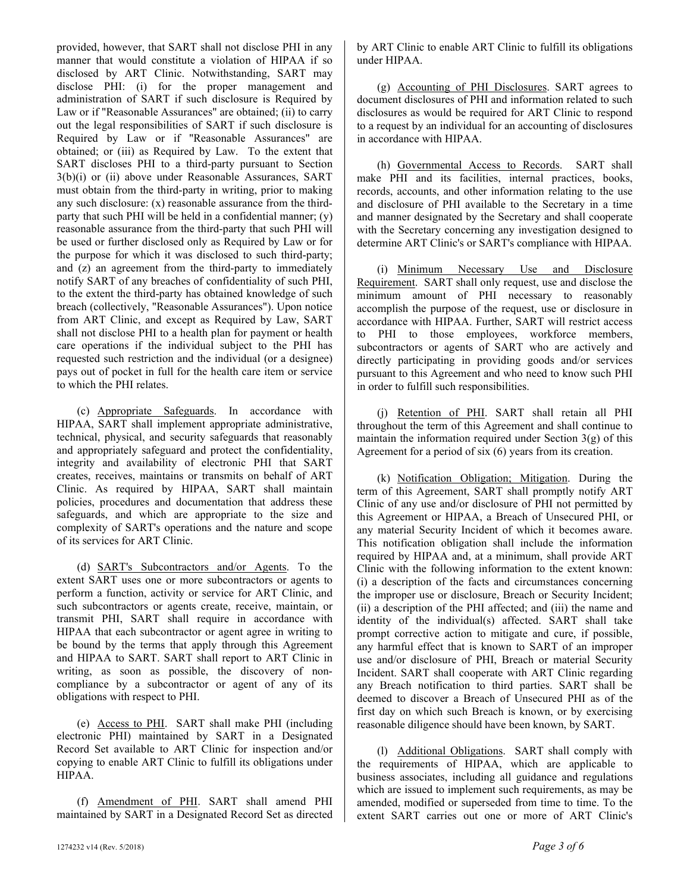provided, however, that SART shall not disclose PHI in any manner that would constitute a violation of HIPAA if so disclosed by ART Clinic. Notwithstanding, SART may disclose PHI: (i) for the proper management and administration of SART if such disclosure is Required by Law or if "Reasonable Assurances" are obtained; (ii) to carry out the legal responsibilities of SART if such disclosure is Required by Law or if "Reasonable Assurances" are obtained; or (iii) as Required by Law. To the extent that SART discloses PHI to a third-party pursuant to Section 3(b)(i) or (ii) above under Reasonable Assurances, SART must obtain from the third-party in writing, prior to making any such disclosure:  $(x)$  reasonable assurance from the thirdparty that such PHI will be held in a confidential manner; (y) reasonable assurance from the third-party that such PHI will be used or further disclosed only as Required by Law or for the purpose for which it was disclosed to such third-party; and (z) an agreement from the third-party to immediately notify SART of any breaches of confidentiality of such PHI, to the extent the third-party has obtained knowledge of such breach (collectively, "Reasonable Assurances"). Upon notice from ART Clinic, and except as Required by Law, SART shall not disclose PHI to a health plan for payment or health care operations if the individual subject to the PHI has requested such restriction and the individual (or a designee) pays out of pocket in full for the health care item or service to which the PHI relates.

(c) Appropriate Safeguards. In accordance with HIPAA, SART shall implement appropriate administrative, technical, physical, and security safeguards that reasonably and appropriately safeguard and protect the confidentiality, integrity and availability of electronic PHI that SART creates, receives, maintains or transmits on behalf of ART Clinic. As required by HIPAA, SART shall maintain policies, procedures and documentation that address these safeguards, and which are appropriate to the size and complexity of SART's operations and the nature and scope of its services for ART Clinic.

(d) SART's Subcontractors and/or Agents. To the extent SART uses one or more subcontractors or agents to perform a function, activity or service for ART Clinic, and such subcontractors or agents create, receive, maintain, or transmit PHI, SART shall require in accordance with HIPAA that each subcontractor or agent agree in writing to be bound by the terms that apply through this Agreement and HIPAA to SART. SART shall report to ART Clinic in writing, as soon as possible, the discovery of noncompliance by a subcontractor or agent of any of its obligations with respect to PHI.

(e) Access to PHI. SART shall make PHI (including electronic PHI) maintained by SART in a Designated Record Set available to ART Clinic for inspection and/or copying to enable ART Clinic to fulfill its obligations under HIPAA.

(f) Amendment of PHI. SART shall amend PHI maintained by SART in a Designated Record Set as directed by ART Clinic to enable ART Clinic to fulfill its obligations under HIPAA.

(g) Accounting of PHI Disclosures. SART agrees to document disclosures of PHI and information related to such disclosures as would be required for ART Clinic to respond to a request by an individual for an accounting of disclosures in accordance with HIPAA.

(h) Governmental Access to Records. SART shall make PHI and its facilities, internal practices, books, records, accounts, and other information relating to the use and disclosure of PHI available to the Secretary in a time and manner designated by the Secretary and shall cooperate with the Secretary concerning any investigation designed to determine ART Clinic's or SART's compliance with HIPAA.

(i) Minimum Necessary Use and Disclosure Requirement. SART shall only request, use and disclose the minimum amount of PHI necessary to reasonably accomplish the purpose of the request, use or disclosure in accordance with HIPAA. Further, SART will restrict access to PHI to those employees, workforce members, subcontractors or agents of SART who are actively and directly participating in providing goods and/or services pursuant to this Agreement and who need to know such PHI in order to fulfill such responsibilities.

(j) Retention of PHI. SART shall retain all PHI throughout the term of this Agreement and shall continue to maintain the information required under Section  $3(g)$  of this Agreement for a period of six (6) years from its creation.

(k) Notification Obligation; Mitigation. During the term of this Agreement, SART shall promptly notify ART Clinic of any use and/or disclosure of PHI not permitted by this Agreement or HIPAA, a Breach of Unsecured PHI, or any material Security Incident of which it becomes aware. This notification obligation shall include the information required by HIPAA and, at a minimum, shall provide ART Clinic with the following information to the extent known: (i) a description of the facts and circumstances concerning the improper use or disclosure, Breach or Security Incident; (ii) a description of the PHI affected; and (iii) the name and identity of the individual(s) affected. SART shall take prompt corrective action to mitigate and cure, if possible, any harmful effect that is known to SART of an improper use and/or disclosure of PHI, Breach or material Security Incident. SART shall cooperate with ART Clinic regarding any Breach notification to third parties. SART shall be deemed to discover a Breach of Unsecured PHI as of the first day on which such Breach is known, or by exercising reasonable diligence should have been known, by SART.

(l) Additional Obligations. SART shall comply with the requirements of HIPAA, which are applicable to business associates, including all guidance and regulations which are issued to implement such requirements, as may be amended, modified or superseded from time to time. To the extent SART carries out one or more of ART Clinic's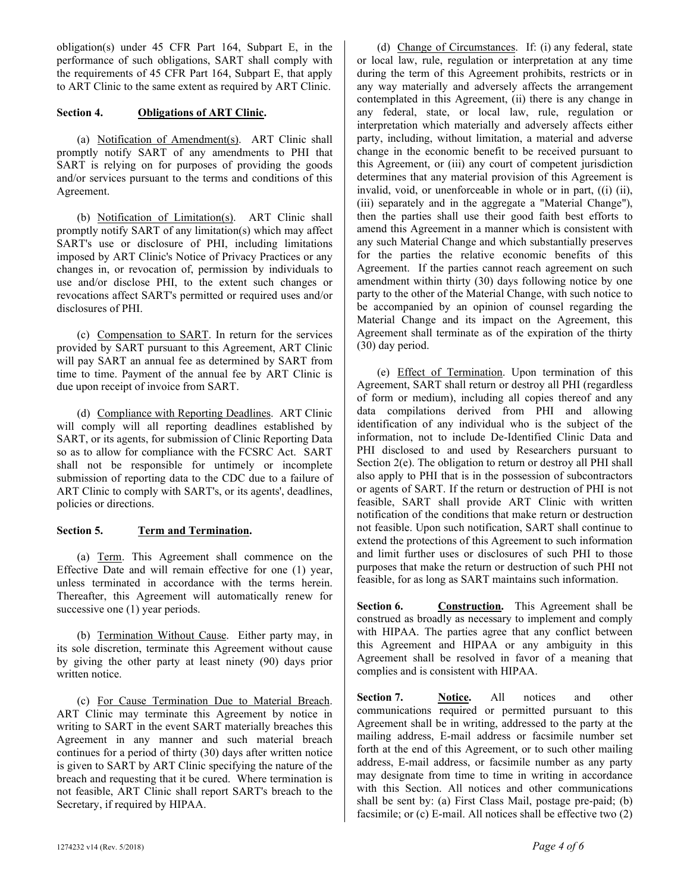obligation(s) under 45 CFR Part 164, Subpart E, in the performance of such obligations, SART shall comply with the requirements of 45 CFR Part 164, Subpart E, that apply to ART Clinic to the same extent as required by ART Clinic.

#### **Section 4. Obligations of ART Clinic.**

(a) Notification of Amendment(s). ART Clinic shall promptly notify SART of any amendments to PHI that SART is relying on for purposes of providing the goods and/or services pursuant to the terms and conditions of this Agreement.

(b) Notification of Limitation(s). ART Clinic shall promptly notify SART of any limitation(s) which may affect SART's use or disclosure of PHI, including limitations imposed by ART Clinic's Notice of Privacy Practices or any changes in, or revocation of, permission by individuals to use and/or disclose PHI, to the extent such changes or revocations affect SART's permitted or required uses and/or disclosures of PHI.

(c) Compensation to SART. In return for the services provided by SART pursuant to this Agreement, ART Clinic will pay SART an annual fee as determined by SART from time to time. Payment of the annual fee by ART Clinic is due upon receipt of invoice from SART.

(d) Compliance with Reporting Deadlines. ART Clinic will comply will all reporting deadlines established by SART, or its agents, for submission of Clinic Reporting Data so as to allow for compliance with the FCSRC Act. SART shall not be responsible for untimely or incomplete submission of reporting data to the CDC due to a failure of ART Clinic to comply with SART's, or its agents', deadlines, policies or directions.

### **Section 5. Term and Termination.**

(a) Term. This Agreement shall commence on the Effective Date and will remain effective for one (1) year, unless terminated in accordance with the terms herein. Thereafter, this Agreement will automatically renew for successive one (1) year periods.

(b) Termination Without Cause. Either party may, in its sole discretion, terminate this Agreement without cause by giving the other party at least ninety (90) days prior written notice.

(c) For Cause Termination Due to Material Breach. ART Clinic may terminate this Agreement by notice in writing to SART in the event SART materially breaches this Agreement in any manner and such material breach continues for a period of thirty (30) days after written notice is given to SART by ART Clinic specifying the nature of the breach and requesting that it be cured. Where termination is not feasible, ART Clinic shall report SART's breach to the Secretary, if required by HIPAA.

(d) Change of Circumstances. If: (i) any federal, state or local law, rule, regulation or interpretation at any time during the term of this Agreement prohibits, restricts or in any way materially and adversely affects the arrangement contemplated in this Agreement, (ii) there is any change in any federal, state, or local law, rule, regulation or interpretation which materially and adversely affects either party, including, without limitation, a material and adverse change in the economic benefit to be received pursuant to this Agreement, or (iii) any court of competent jurisdiction determines that any material provision of this Agreement is invalid, void, or unenforceable in whole or in part, ((i) (ii), (iii) separately and in the aggregate a "Material Change"), then the parties shall use their good faith best efforts to amend this Agreement in a manner which is consistent with any such Material Change and which substantially preserves for the parties the relative economic benefits of this Agreement. If the parties cannot reach agreement on such amendment within thirty (30) days following notice by one party to the other of the Material Change, with such notice to be accompanied by an opinion of counsel regarding the Material Change and its impact on the Agreement, this Agreement shall terminate as of the expiration of the thirty (30) day period.

(e) Effect of Termination. Upon termination of this Agreement, SART shall return or destroy all PHI (regardless of form or medium), including all copies thereof and any data compilations derived from PHI and allowing identification of any individual who is the subject of the information, not to include De-Identified Clinic Data and PHI disclosed to and used by Researchers pursuant to Section 2(e). The obligation to return or destroy all PHI shall also apply to PHI that is in the possession of subcontractors or agents of SART. If the return or destruction of PHI is not feasible, SART shall provide ART Clinic with written notification of the conditions that make return or destruction not feasible. Upon such notification, SART shall continue to extend the protections of this Agreement to such information and limit further uses or disclosures of such PHI to those purposes that make the return or destruction of such PHI not feasible, for as long as SART maintains such information.

Section 6. **Construction.** This Agreement shall be construed as broadly as necessary to implement and comply with HIPAA. The parties agree that any conflict between this Agreement and HIPAA or any ambiguity in this Agreement shall be resolved in favor of a meaning that complies and is consistent with HIPAA.

**Section 7. Notice.** All notices and other communications required or permitted pursuant to this Agreement shall be in writing, addressed to the party at the mailing address, E-mail address or facsimile number set forth at the end of this Agreement, or to such other mailing address, E-mail address, or facsimile number as any party may designate from time to time in writing in accordance with this Section. All notices and other communications shall be sent by: (a) First Class Mail, postage pre-paid; (b) facsimile; or (c) E-mail. All notices shall be effective two (2)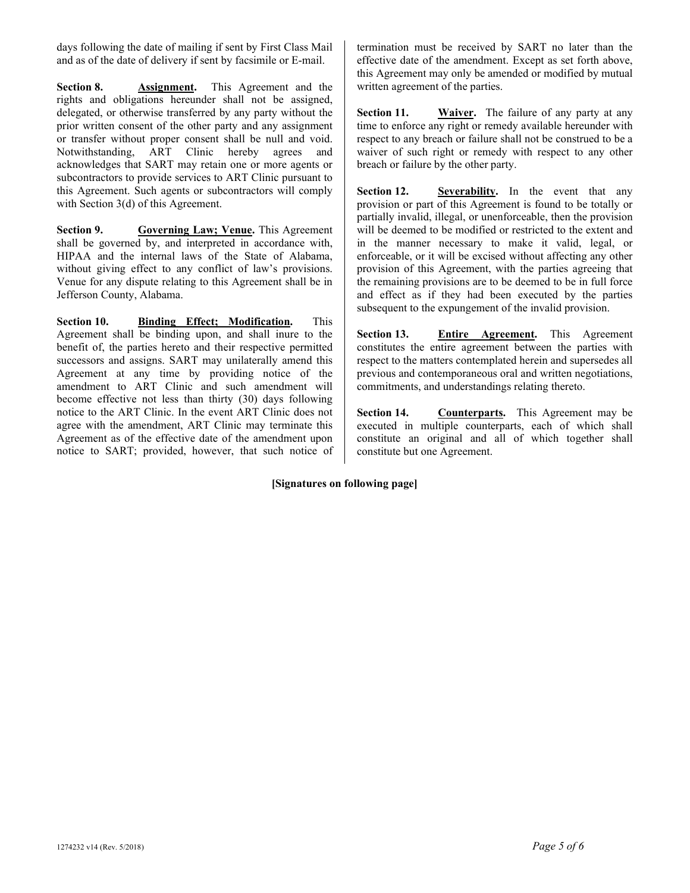days following the date of mailing if sent by First Class Mail and as of the date of delivery if sent by facsimile or E-mail.

**Section 8. Assignment.** This Agreement and the rights and obligations hereunder shall not be assigned, delegated, or otherwise transferred by any party without the prior written consent of the other party and any assignment or transfer without proper consent shall be null and void. Notwithstanding, ART Clinic hereby agrees and acknowledges that SART may retain one or more agents or subcontractors to provide services to ART Clinic pursuant to this Agreement. Such agents or subcontractors will comply with Section 3(d) of this Agreement.

**Section 9. Governing Law; Venue.** This Agreement shall be governed by, and interpreted in accordance with, HIPAA and the internal laws of the State of Alabama, without giving effect to any conflict of law's provisions. Venue for any dispute relating to this Agreement shall be in Jefferson County, Alabama.

**Section 10. Binding Effect; Modification.** This Agreement shall be binding upon, and shall inure to the benefit of, the parties hereto and their respective permitted successors and assigns. SART may unilaterally amend this Agreement at any time by providing notice of the amendment to ART Clinic and such amendment will become effective not less than thirty (30) days following notice to the ART Clinic. In the event ART Clinic does not agree with the amendment, ART Clinic may terminate this Agreement as of the effective date of the amendment upon notice to SART; provided, however, that such notice of termination must be received by SART no later than the effective date of the amendment. Except as set forth above, this Agreement may only be amended or modified by mutual written agreement of the parties.

**Section 11. Waiver.** The failure of any party at any time to enforce any right or remedy available hereunder with respect to any breach or failure shall not be construed to be a waiver of such right or remedy with respect to any other breach or failure by the other party.

**Section 12. Severability.** In the event that any provision or part of this Agreement is found to be totally or partially invalid, illegal, or unenforceable, then the provision will be deemed to be modified or restricted to the extent and in the manner necessary to make it valid, legal, or enforceable, or it will be excised without affecting any other provision of this Agreement, with the parties agreeing that the remaining provisions are to be deemed to be in full force and effect as if they had been executed by the parties subsequent to the expungement of the invalid provision.

**Section 13. Entire Agreement.** This Agreement constitutes the entire agreement between the parties with respect to the matters contemplated herein and supersedes all previous and contemporaneous oral and written negotiations, commitments, and understandings relating thereto.

**Section 14. Counterparts.** This Agreement may be executed in multiple counterparts, each of which shall constitute an original and all of which together shall constitute but one Agreement.

## **[Signatures on following page]**